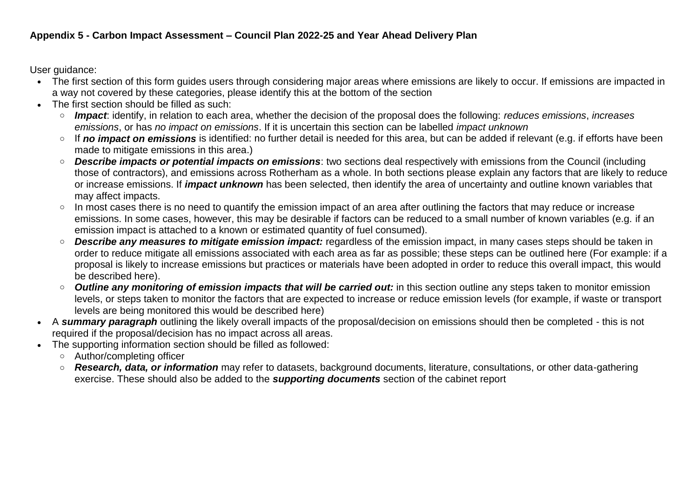User guidance:

- The first section of this form quides users through considering major areas where emissions are likely to occur. If emissions are impacted in a way not covered by these categories, please identify this at the bottom of the section
- The first section should be filled as such:
	- o *Impact*: identify, in relation to each area, whether the decision of the proposal does the following: *reduces emissions*, *increases emissions*, or has *no impact on emissions*. If it is uncertain this section can be labelled *impact unknown*
	- o If *no impact on emissions* is identified: no further detail is needed for this area, but can be added if relevant (e.g. if efforts have been made to mitigate emissions in this area.)
	- o *Describe impacts or potential impacts on emissions*: two sections deal respectively with emissions from the Council (including those of contractors), and emissions across Rotherham as a whole. In both sections please explain any factors that are likely to reduce or increase emissions. If *impact unknown* has been selected, then identify the area of uncertainty and outline known variables that may affect impacts.
	- o In most cases there is no need to quantify the emission impact of an area after outlining the factors that may reduce or increase emissions. In some cases, however, this may be desirable if factors can be reduced to a small number of known variables (e.g. if an emission impact is attached to a known or estimated quantity of fuel consumed).
	- o *Describe any measures to mitigate emission impact:* regardless of the emission impact, in many cases steps should be taken in order to reduce mitigate all emissions associated with each area as far as possible; these steps can be outlined here (For example: if a proposal is likely to increase emissions but practices or materials have been adopted in order to reduce this overall impact, this would be described here).
	- o *Outline any monitoring of emission impacts that will be carried out:* in this section outline any steps taken to monitor emission levels, or steps taken to monitor the factors that are expected to increase or reduce emission levels (for example, if waste or transport levels are being monitored this would be described here)
- A *summary paragraph* outlining the likely overall impacts of the proposal/decision on emissions should then be completed this is not required if the proposal/decision has no impact across all areas.
- The supporting information section should be filled as followed:
	- o Author/completing officer
	- o *Research, data, or information* may refer to datasets, background documents, literature, consultations, or other data-gathering exercise. These should also be added to the *supporting documents* section of the cabinet report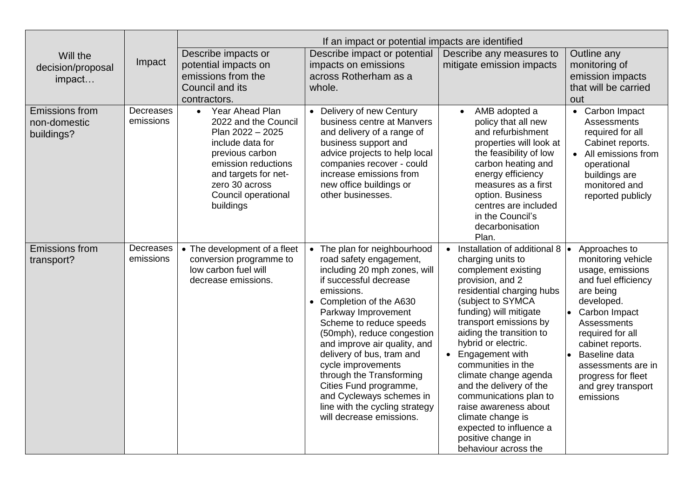|                                                     |                        | If an impact or potential impacts are identified                                                                                                                                                                     |                                                                                                                                                                                                                                                                                                                                                                                                                                                                              |                                                                                                                                                                                                                                                                                                                                                                                                                                                                                                                            |                                                                                                                                                                                                                                                                                   |
|-----------------------------------------------------|------------------------|----------------------------------------------------------------------------------------------------------------------------------------------------------------------------------------------------------------------|------------------------------------------------------------------------------------------------------------------------------------------------------------------------------------------------------------------------------------------------------------------------------------------------------------------------------------------------------------------------------------------------------------------------------------------------------------------------------|----------------------------------------------------------------------------------------------------------------------------------------------------------------------------------------------------------------------------------------------------------------------------------------------------------------------------------------------------------------------------------------------------------------------------------------------------------------------------------------------------------------------------|-----------------------------------------------------------------------------------------------------------------------------------------------------------------------------------------------------------------------------------------------------------------------------------|
| Will the<br>decision/proposal<br>impact             | Impact                 | Describe impacts or<br>potential impacts on<br>emissions from the                                                                                                                                                    | Describe impact or potential<br>impacts on emissions<br>across Rotherham as a                                                                                                                                                                                                                                                                                                                                                                                                | Describe any measures to<br>mitigate emission impacts                                                                                                                                                                                                                                                                                                                                                                                                                                                                      | Outline any<br>monitoring of<br>emission impacts                                                                                                                                                                                                                                  |
|                                                     |                        | Council and its<br>contractors.                                                                                                                                                                                      | whole.                                                                                                                                                                                                                                                                                                                                                                                                                                                                       |                                                                                                                                                                                                                                                                                                                                                                                                                                                                                                                            | that will be carried<br>out                                                                                                                                                                                                                                                       |
| <b>Emissions from</b><br>non-domestic<br>buildings? | Decreases<br>emissions | Year Ahead Plan<br>$\bullet$<br>2022 and the Council<br>Plan 2022 - 2025<br>include data for<br>previous carbon<br>emission reductions<br>and targets for net-<br>zero 30 across<br>Council operational<br>buildings | Delivery of new Century<br>business centre at Manvers<br>and delivery of a range of<br>business support and<br>advice projects to help local<br>companies recover - could<br>increase emissions from<br>new office buildings or<br>other businesses.                                                                                                                                                                                                                         | AMB adopted a<br>policy that all new<br>and refurbishment<br>properties will look at<br>the feasibility of low<br>carbon heating and<br>energy efficiency<br>measures as a first<br>option. Business<br>centres are included<br>in the Council's<br>decarbonisation<br>Plan.                                                                                                                                                                                                                                               | • Carbon Impact<br><b>Assessments</b><br>required for all<br>Cabinet reports.<br>• All emissions from<br>operational<br>buildings are<br>monitored and<br>reported publicly                                                                                                       |
| <b>Emissions from</b><br>transport?                 | Decreases<br>emissions | • The development of a fleet<br>conversion programme to<br>low carbon fuel will<br>decrease emissions.                                                                                                               | The plan for neighbourhood<br>road safety engagement,<br>including 20 mph zones, will<br>if successful decrease<br>emissions.<br>• Completion of the A630<br>Parkway Improvement<br>Scheme to reduce speeds<br>(50mph), reduce congestion<br>and improve air quality, and<br>delivery of bus, tram and<br>cycle improvements<br>through the Transforming<br>Cities Fund programme,<br>and Cycleways schemes in<br>line with the cycling strategy<br>will decrease emissions. | Installation of additional 8 $\bullet$<br>$\bullet$<br>charging units to<br>complement existing<br>provision, and 2<br>residential charging hubs<br>(subject to SYMCA<br>funding) will mitigate<br>transport emissions by<br>aiding the transition to<br>hybrid or electric.<br>Engagement with<br>communities in the<br>climate change agenda<br>and the delivery of the<br>communications plan to<br>raise awareness about<br>climate change is<br>expected to influence a<br>positive change in<br>behaviour across the | Approaches to<br>monitoring vehicle<br>usage, emissions<br>and fuel efficiency<br>are being<br>developed.<br>Carbon Impact<br>Assessments<br>required for all<br>cabinet reports.<br>Baseline data<br>assessments are in<br>progress for fleet<br>and grey transport<br>emissions |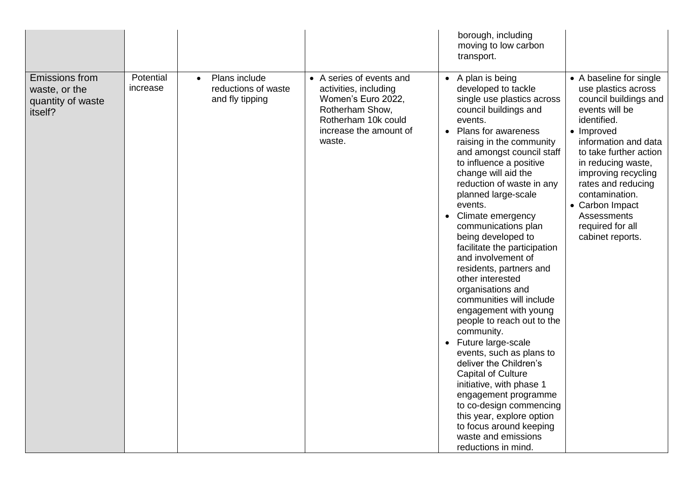|                                                                        |                       |                                                                      |                                                                                                                                                       | borough, including<br>moving to low carbon<br>transport.                                                                                                                                                                                                                                                                                                                                                                                                                                                                                                                                                                                                                                                                                                                                                                                                                                                                |                                                                                                                                                                                                                                                                                                                                                |
|------------------------------------------------------------------------|-----------------------|----------------------------------------------------------------------|-------------------------------------------------------------------------------------------------------------------------------------------------------|-------------------------------------------------------------------------------------------------------------------------------------------------------------------------------------------------------------------------------------------------------------------------------------------------------------------------------------------------------------------------------------------------------------------------------------------------------------------------------------------------------------------------------------------------------------------------------------------------------------------------------------------------------------------------------------------------------------------------------------------------------------------------------------------------------------------------------------------------------------------------------------------------------------------------|------------------------------------------------------------------------------------------------------------------------------------------------------------------------------------------------------------------------------------------------------------------------------------------------------------------------------------------------|
| <b>Emissions from</b><br>waste, or the<br>quantity of waste<br>itself? | Potential<br>increase | Plans include<br>$\bullet$<br>reductions of waste<br>and fly tipping | • A series of events and<br>activities, including<br>Women's Euro 2022,<br>Rotherham Show,<br>Rotherham 10k could<br>increase the amount of<br>waste. | • A plan is being<br>developed to tackle<br>single use plastics across<br>council buildings and<br>events.<br>• Plans for awareness<br>raising in the community<br>and amongst council staff<br>to influence a positive<br>change will aid the<br>reduction of waste in any<br>planned large-scale<br>events.<br>• Climate emergency<br>communications plan<br>being developed to<br>facilitate the participation<br>and involvement of<br>residents, partners and<br>other interested<br>organisations and<br>communities will include<br>engagement with young<br>people to reach out to the<br>community.<br>Future large-scale<br>$\bullet$<br>events, such as plans to<br>deliver the Children's<br><b>Capital of Culture</b><br>initiative, with phase 1<br>engagement programme<br>to co-design commencing<br>this year, explore option<br>to focus around keeping<br>waste and emissions<br>reductions in mind. | • A baseline for single<br>use plastics across<br>council buildings and<br>events will be<br>identified.<br>• Improved<br>information and data<br>to take further action<br>in reducing waste,<br>improving recycling<br>rates and reducing<br>contamination.<br>• Carbon Impact<br><b>Assessments</b><br>required for all<br>cabinet reports. |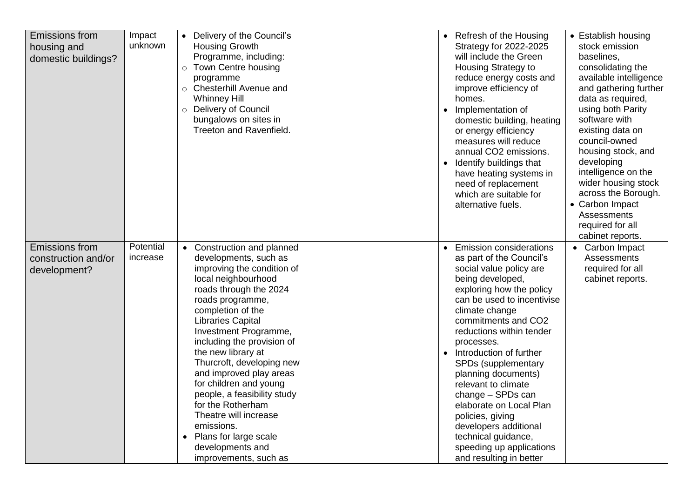| <b>Emissions from</b><br>housing and<br>domestic buildings?  | Impact<br>unknown     | • Delivery of the Council's<br><b>Housing Growth</b><br>Programme, including:<br>Town Centre housing<br>$\circ$<br>programme<br>Chesterhill Avenue and<br>$\circ$<br><b>Whinney Hill</b><br><b>Delivery of Council</b><br>$\circ$<br>bungalows on sites in<br><b>Treeton and Ravenfield.</b>                                                                                                                                                                                                                                                         | Refresh of the Housing<br>Strategy for 2022-2025<br>will include the Green<br>Housing Strategy to<br>reduce energy costs and<br>improve efficiency of<br>homes.<br>Implementation of<br>domestic building, heating<br>or energy efficiency<br>measures will reduce<br>annual CO2 emissions.<br>Identify buildings that<br>$\bullet$<br>have heating systems in<br>need of replacement<br>which are suitable for<br>alternative fuels.                                                                                             | • Establish housing<br>stock emission<br>baselines,<br>consolidating the<br>available intelligence<br>and gathering further<br>data as required,<br>using both Parity<br>software with<br>existing data on<br>council-owned<br>housing stock, and<br>developing<br>intelligence on the<br>wider housing stock<br>across the Borough.<br>• Carbon Impact<br>Assessments<br>required for all<br>cabinet reports. |
|--------------------------------------------------------------|-----------------------|------------------------------------------------------------------------------------------------------------------------------------------------------------------------------------------------------------------------------------------------------------------------------------------------------------------------------------------------------------------------------------------------------------------------------------------------------------------------------------------------------------------------------------------------------|-----------------------------------------------------------------------------------------------------------------------------------------------------------------------------------------------------------------------------------------------------------------------------------------------------------------------------------------------------------------------------------------------------------------------------------------------------------------------------------------------------------------------------------|----------------------------------------------------------------------------------------------------------------------------------------------------------------------------------------------------------------------------------------------------------------------------------------------------------------------------------------------------------------------------------------------------------------|
| <b>Emissions from</b><br>construction and/or<br>development? | Potential<br>increase | • Construction and planned<br>developments, such as<br>improving the condition of<br>local neighbourhood<br>roads through the 2024<br>roads programme,<br>completion of the<br><b>Libraries Capital</b><br>Investment Programme,<br>including the provision of<br>the new library at<br>Thurcroft, developing new<br>and improved play areas<br>for children and young<br>people, a feasibility study<br>for the Rotherham<br>Theatre will increase<br>emissions.<br>Plans for large scale<br>$\bullet$<br>developments and<br>improvements, such as | <b>Emission considerations</b><br>as part of the Council's<br>social value policy are<br>being developed,<br>exploring how the policy<br>can be used to incentivise<br>climate change<br>commitments and CO2<br>reductions within tender<br>processes.<br>Introduction of further<br>SPDs (supplementary<br>planning documents)<br>relevant to climate<br>change - SPDs can<br>elaborate on Local Plan<br>policies, giving<br>developers additional<br>technical guidance,<br>speeding up applications<br>and resulting in better | • Carbon Impact<br>Assessments<br>required for all<br>cabinet reports.                                                                                                                                                                                                                                                                                                                                         |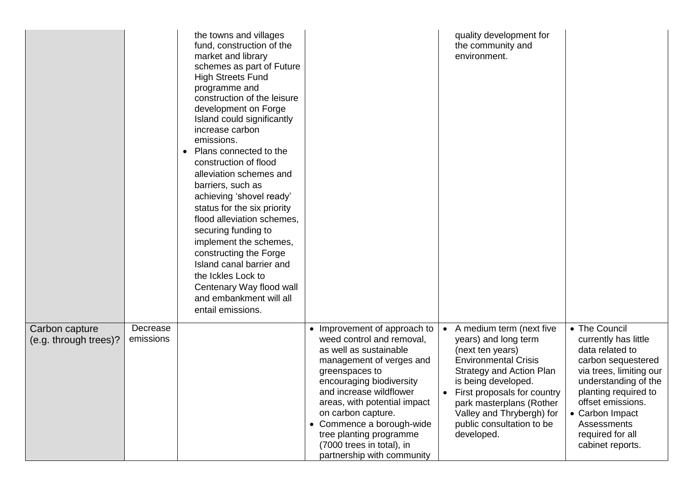|                                         |                       | the towns and villages<br>fund, construction of the<br>market and library<br>schemes as part of Future<br><b>High Streets Fund</b><br>programme and<br>construction of the leisure<br>development on Forge<br>Island could significantly<br>increase carbon<br>emissions.<br>Plans connected to the<br>$\bullet$<br>construction of flood<br>alleviation schemes and<br>barriers, such as<br>achieving 'shovel ready'<br>status for the six priority<br>flood alleviation schemes.<br>securing funding to<br>implement the schemes,<br>constructing the Forge<br>Island canal barrier and<br>the Ickles Lock to<br>Centenary Way flood wall<br>and embankment will all<br>entail emissions. |                                                                                                                                                                                                                                                                                                                                                                 | quality development for<br>the community and<br>environment.                                                                                                                                                                                                                                                               |                                                                                                                                                                                                                                                          |
|-----------------------------------------|-----------------------|---------------------------------------------------------------------------------------------------------------------------------------------------------------------------------------------------------------------------------------------------------------------------------------------------------------------------------------------------------------------------------------------------------------------------------------------------------------------------------------------------------------------------------------------------------------------------------------------------------------------------------------------------------------------------------------------|-----------------------------------------------------------------------------------------------------------------------------------------------------------------------------------------------------------------------------------------------------------------------------------------------------------------------------------------------------------------|----------------------------------------------------------------------------------------------------------------------------------------------------------------------------------------------------------------------------------------------------------------------------------------------------------------------------|----------------------------------------------------------------------------------------------------------------------------------------------------------------------------------------------------------------------------------------------------------|
| Carbon capture<br>(e.g. through trees)? | Decrease<br>emissions |                                                                                                                                                                                                                                                                                                                                                                                                                                                                                                                                                                                                                                                                                             | Improvement of approach to<br>weed control and removal,<br>as well as sustainable<br>management of verges and<br>greenspaces to<br>encouraging biodiversity<br>and increase wildflower<br>areas, with potential impact<br>on carbon capture.<br>• Commence a borough-wide<br>tree planting programme<br>(7000 trees in total), in<br>partnership with community | A medium term (next five<br>$\bullet$<br>years) and long term<br>(next ten years)<br><b>Environmental Crisis</b><br><b>Strategy and Action Plan</b><br>is being developed.<br>First proposals for country<br>$\bullet$<br>park masterplans (Rother<br>Valley and Thrybergh) for<br>public consultation to be<br>developed. | • The Council<br>currently has little<br>data related to<br>carbon sequestered<br>via trees, limiting our<br>understanding of the<br>planting required to<br>offset emissions.<br>• Carbon Impact<br>Assessments<br>required for all<br>cabinet reports. |